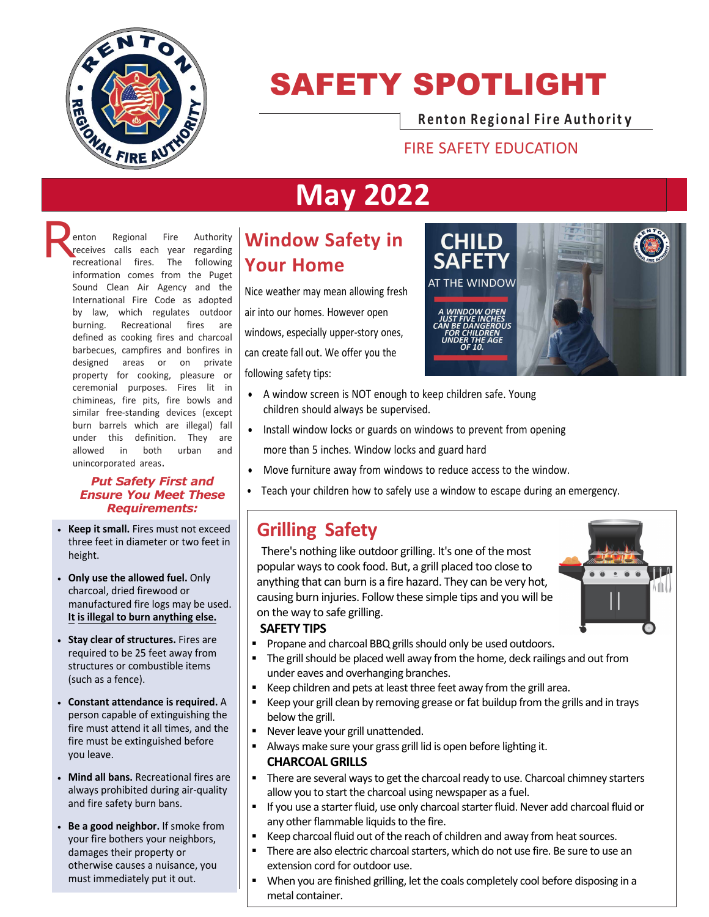

# SAFETY SPOTLIGHT

**Renton Re g iona l F ir e Authorit y**

#### FIRE SAFETY EDUCATION

# **May 2022**

**Renton Regional Fire Authority**<br>**Renderive recreational fires.** The following receives calls each year regarding recreational fires. The following information comes from the Puget Sound Clean Air Agency and the International Fire Code as adopted by law, which regulates outdoor burning. Recreational fires are defined as cooking fires and charcoal barbecues, campfires and bonfires in designed areas or on private property for cooking, pleasure or ceremonial purposes. Fires lit in chimineas, fire pits, fire bowls and similar free-standing devices (except burn barrels which are illegal) fall under this definition. They are allowed in both urban and unincorporated areas.

#### *Put Safety First and Ensure You Meet These Requirements:*

- **Keep it small.** Fires must not exceed three feet in diameter or two feet in height.
- **Only use the allowed fuel.** Only charcoal, dried firewood or manufactured fire logs may be used. **It is illegal to burn anything else.**
- **Stay clear of structures.** Fires are required to be 25 feet away from structures or combustible items (such as a fence).
- **Constant attendance is required.** A person capable of extinguishing the fire must attend it all times, and the fire must be extinguished before you leave.
- **Mind all bans.** Recreational fires are always prohibited during air-quality and fire safety burn bans.
- **Be a good neighbor.** If smoke from your fire bothers your neighbors, damages their property or otherwise causes a nuisance, you must immediately put it out.

## **Window Safety in Your Home**

Nice weather may mean allowing fresh air into our homes. However open windows, especially upper-story ones, can create fall out. We offer you the following safety tips:



- A window screen is NOT enough to keep children safe. Young children should always be supervised.
- Install window locks or guards on windows to prevent from opening more than 5 inches. Window locks and guard hard
- Move furniture away from windows to reduce access to the window.
- Teach your children how to safely use a window to escape during an emergency.

### **Grilling Safety**

There's nothing like outdoor grilling. It's one of the most popular ways to cook food. But, a grill placed too close to anything that can burn is a fire hazard. They can be very hot, causing burn injuries. Follow these simple tips and you will be on the way to safe grilling.



- **Propane and charcoal BBQ grills should only be used outdoors.**
- The grill should be placed well away from the home, deck railings and out from under eaves and overhanging branches.
- Keep children and pets at least three feet away from the grill area.
- Keep your grill clean by removing grease or fat buildup from the grills and in trays below the grill.
- **Never leave your grill unattended.**
- Always make sure your grass grill lid is open before lighting it. **CHARCOAL GRILLS**
- There are several ways to get the charcoal ready to use. Charcoal chimney starters allow you to start the charcoal using newspaper as a fuel.
- **If you use a starter fluid, use only charcoal starter fluid. Never add charcoal fluid or** any other flammable liquids to the fire.
- Keep charcoal fluid out of the reach of children and away from heat sources.
- There are also electric charcoal starters, which do not use fire. Be sure to use an extension cord for outdoor use.
- When you are finished grilling, let the coals completely cool before disposing in a metal container.